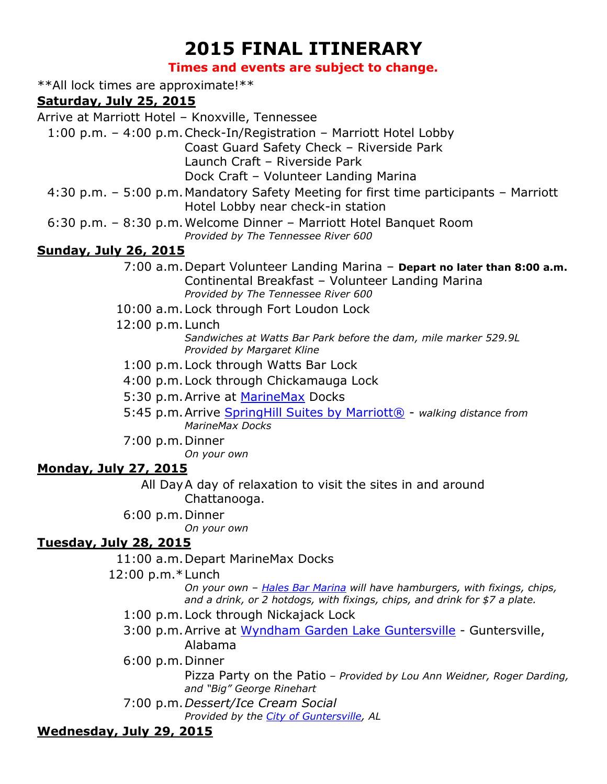# **2015 FINAL ITINERARY**

#### **Times and events are subject to change.**

\*\*All lock times are approximate!\*\*

#### **Saturday, July 25, 2015**

Arrive at Marriott Hotel – Knoxville, Tennessee

1:00 p.m. – 4:00 p.m.Check-In/Registration – Marriott Hotel Lobby Coast Guard Safety Check – Riverside Park

Launch Craft – Riverside Park

Dock Craft – Volunteer Landing Marina

- 4:30 p.m. 5:00 p.m. Mandatory Safety Meeting for first time participants Marriott Hotel Lobby near check-in station
- 6:30 p.m. 8:30 p.m.Welcome Dinner Marriott Hotel Banquet Room *Provided by The Tennessee River 600*

#### **Sunday, July 26, 2015**

- 7:00 a.m.Depart Volunteer Landing Marina **Depart no later than 8:00 a.m.** Continental Breakfast – Volunteer Landing Marina *Provided by The Tennessee River 600*
- 10:00 a.m.Lock through Fort Loudon Lock
- 12:00 p.m.Lunch

*Sandwiches at Watts Bar Park before the dam, mile marker 529.9L Provided by Margaret Kline*

1:00 p.m.Lock through Watts Bar Lock

4:00 p.m.Lock through Chickamauga Lock

5:30 p.m. Arrive at [MarineMax](http://www.marinemax.com/stores/southeast/chattanooga.aspx) Docks

- 5:45 p.m.Arrive [SpringHill Suites by Marriott®](http://www.marriott.com/hotels/travel/chash-springhill-suites-chattanooga-downtown-cameron-harbor/) *walking distance from MarineMax Docks*
- 7:00 p.m.Dinner

*On your own*

#### **Monday, July 27, 2015**

All DayA day of relaxation to visit the sites in and around Chattanooga.

6:00 p.m.Dinner

*On your own*

#### **Tuesday, July 28, 2015**

11:00 a.m.Depart MarineMax Docks

12:00 p.m.\*Lunch

*On your own – [Hales Bar Marina](http://www.halesbarmarina.com/) will have hamburgers, with fixings, chips, and a drink, or 2 hotdogs, with fixings, chips, and drink for \$7 a plate.*

- 1:00 p.m.Lock through Nickajack Lock
- 3:00 p.m. Arrive at [Wyndham Garden Lake Guntersville](http://www.wyndham.com/hotels/alabama/guntersville/wyndham-garden-guntersville/hotel-overview?partner_id=&hotel_id=47334&group_code=&campaign_code=&propId=WY47334&brand_id=WY&checkout_date=&modify=false&useWRPoints=false&children=0&corporate_id=&ratePlan=&teens=0&affiliate_id=&altPropId=47334&brand_code=BH%2CDI%2CRA%2CBU%2CHJ%2CKG%2CMT%2CSE%2CTL%2CWG%2CWY%2CPX%2CWT%2CWP%2CPN&iata=&childAgeParam=&rate_code=&adults=1&discreteParam=&checkin_date=&rooms=1&ref_id=http%3A//www.daysinn.com&srcBrand=DI&srcDestination=guntersville) Guntersville, Alabama
- 6:00 p.m.Dinner

Pizza Party on the Patio *– Provided by Lou Ann Weidner, Roger Darding, and "Big" George Rinehart*

7:00 p.m.*Dessert/Ice Cream Social*

*Provided by the [City of Guntersville,](http://www.guntersvilleal.org/) AL*

## **Wednesday, July 29, 2015**